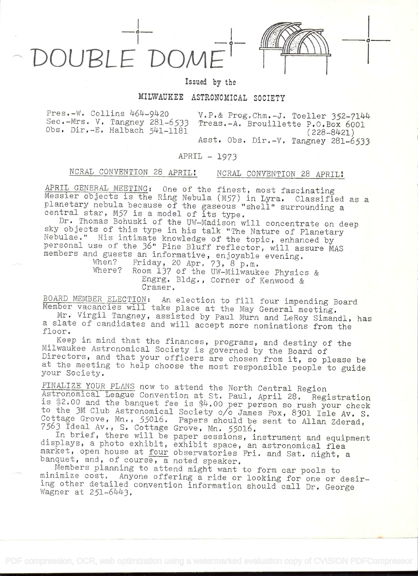## OUBLE DOM

Issued by the

## MILWAUKEE ASTRONOMICAL SOCIETY

Pres.-W. Collins 464-9420 v.P.& Prog.Chm.-J. Toeller 352-7144<br>Sec.-Mrs. V. Tangney 281-6533 Treas.-A. Brouillette P.O.Box 6001<br>Obs. Dir.-E. Halbach 541-1181 (228-8421) (228-8421) (228-8421)

in the contract of the con-

## APRIL - 1973

## NCRAL CONVENTION 28 APRIL! NCRAL CONVENTION 28 APRIL!

APRIL GENERAL MEETING: One of the finest, most fascinating<br>Messier objects is the Ring Nebula (M57) in Lyra. Classified as a<br>planetary nebula because of the gaseous "shell" surrounding a<br>central star, M57 is a model of its

BOARD MEMBER ELECTION: An election to fill four impending Board<br>Member vacancies will take place at the May General meeting.<br>Mr. Virgil Tangney, assisted by Paul Murn and LeRoy Simandl, has

a slate of candidates and will accept more nominations from the<br>floor. Keep in mind that the finances, programs, and destiny of the

Milwaukee Astronomical Society is governed by the Board of<br>Directors, and that your officers are chosen from it, so please be<br>at the meeting to help choose the most responsible people to guide<br>your Society.

FINALIZE YOUR PLANS now to attend the North Central Region<br>Astronomical League Convention at St. Paul, April 28. Registration<br>is \$2.00 and the banquet fee is \$4.00 per person so rush your check<br>to the 3M Club Astronomical